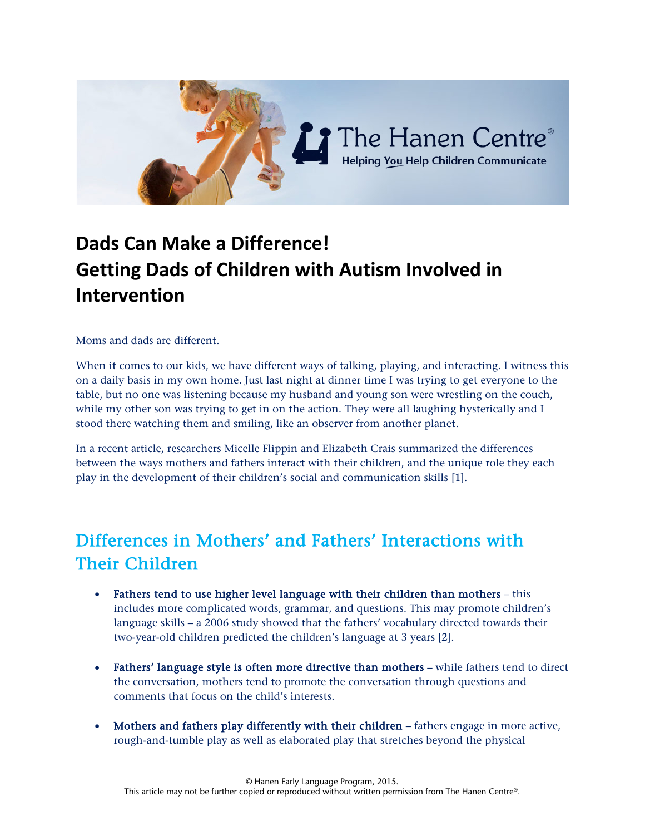

# **Dads Can Make a Difference! Getting Dads of Children with Autism Involved in Intervention**

Moms and dads are different.

When it comes to our kids, we have different ways of talking, playing, and interacting. I witness this on a daily basis in my own home. Just last night at dinner time I was trying to get everyone to the table, but no one was listening because my husband and young son were wrestling on the couch, while my other son was trying to get in on the action. They were all laughing hysterically and I stood there watching them and smiling, like an observer from another planet.

In a recent article, researchers Micelle Flippin and Elizabeth Crais summarized the differences between the ways mothers and fathers interact with their children, and the unique role they each play in the development of their children's social and communication skills [1].

## Differences in Mothers' and Fathers' Interactions with Their Children

- Fathers tend to use higher level language with their children than mothers this includes more complicated words, grammar, and questions. This may promote children's language skills – a 2006 study showed that the fathers' vocabulary directed towards their two-year-old children predicted the children's language at 3 years [2].
- Fathers' language style is often more directive than mothers while fathers tend to direct the conversation, mothers tend to promote the conversation through questions and comments that focus on the child's interests.
- Mothers and fathers play differently with their children fathers engage in more active, rough-and-tumble play as well as elaborated play that stretches beyond the physical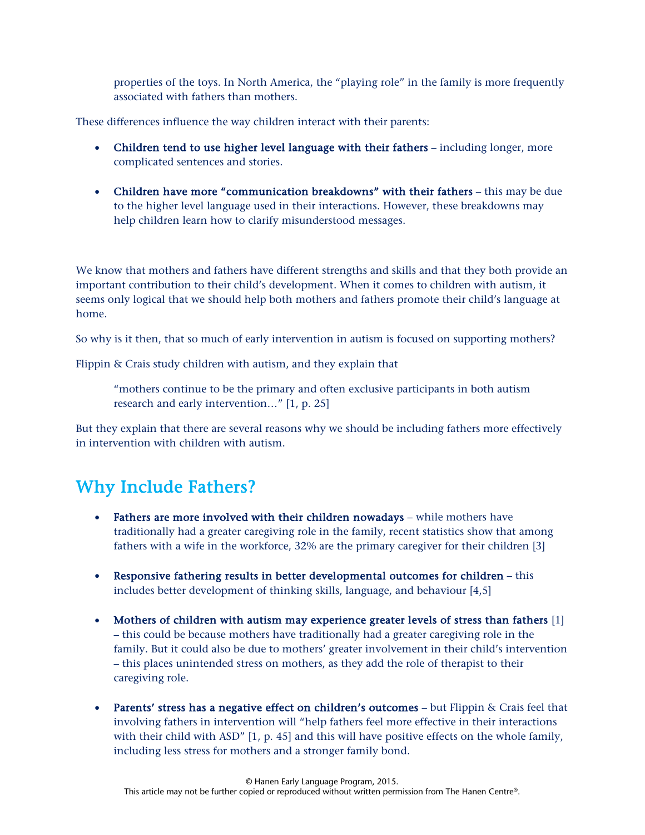properties of the toys. In North America, the "playing role" in the family is more frequently associated with fathers than mothers.

These differences influence the way children interact with their parents:

- Children tend to use higher level language with their fathers including longer, more complicated sentences and stories.
- Children have more "communication breakdowns" with their fathers this may be due to the higher level language used in their interactions. However, these breakdowns may help children learn how to clarify misunderstood messages.

We know that mothers and fathers have different strengths and skills and that they both provide an important contribution to their child's development. When it comes to children with autism, it seems only logical that we should help both mothers and fathers promote their child's language at home.

So why is it then, that so much of early intervention in autism is focused on supporting mothers?

Flippin & Crais study children with autism, and they explain that

"mothers continue to be the primary and often exclusive participants in both autism research and early intervention…" [1, p. 25]

But they explain that there are several reasons why we should be including fathers more effectively in intervention with children with autism.

### Why Include Fathers?

- Fathers are more involved with their children nowadays while mothers have traditionally had a greater caregiving role in the family, recent statistics show that among fathers with a wife in the workforce, 32% are the primary caregiver for their children [3]
- Responsive fathering results in better developmental outcomes for children this includes better development of thinking skills, language, and behaviour [4,5]
- Mothers of children with autism may experience greater levels of stress than fathers [1] – this could be because mothers have traditionally had a greater caregiving role in the family. But it could also be due to mothers' greater involvement in their child's intervention – this places unintended stress on mothers, as they add the role of therapist to their caregiving role.
- Parents' stress has a negative effect on children's outcomes  $-$  but Flippin & Crais feel that involving fathers in intervention will "help fathers feel more effective in their interactions with their child with ASD" [1, p. 45] and this will have positive effects on the whole family, including less stress for mothers and a stronger family bond.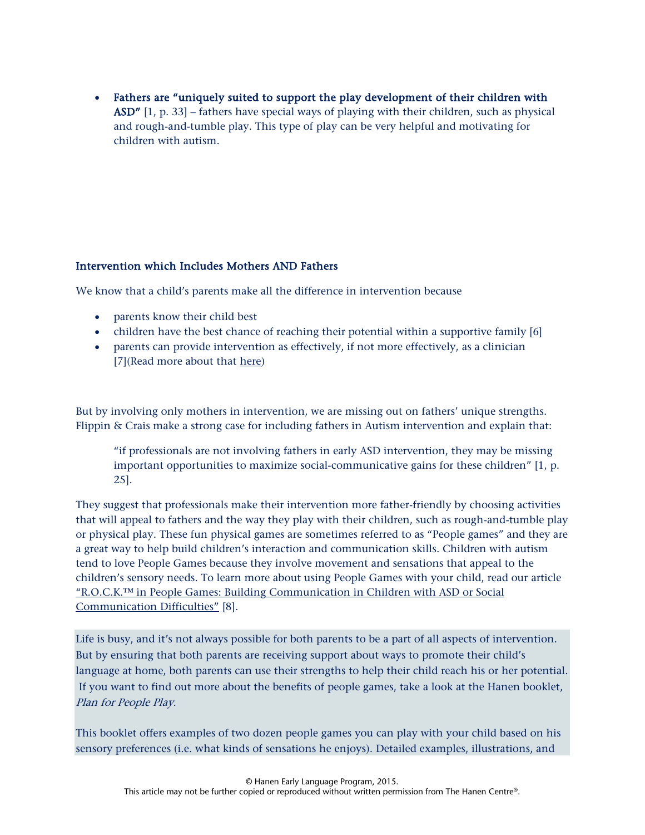• Fathers are "uniquely suited to support the play development of their children with ASD" [1, p. 33] – fathers have special ways of playing with their children, such as physical and rough-and-tumble play. This type of play can be very helpful and motivating for children with autism.

#### Intervention which Includes Mothers AND Fathers

We know that a child's parents make all the difference in intervention because

- parents know their child best
- children have the best chance of reaching their potential within a supportive family [6]
- parents can provide intervention as effectively, if not more effectively, as a clinician [7](Read more about that [here\)](http://www.hanen.org/Helpful-Info/Articles/Parents-as--Speech-Therapists--What-a-New-Study-S.aspx)

But by involving only mothers in intervention, we are missing out on fathers' unique strengths. Flippin & Crais make a strong case for including fathers in Autism intervention and explain that:

"if professionals are not involving fathers in early ASD intervention, they may be missing important opportunities to maximize social-communicative gains for these children" [1, p. 25].

They suggest that professionals make their intervention more father-friendly by choosing activities that will appeal to fathers and the way they play with their children, such as rough-and-tumble play or physical play. These fun physical games are sometimes referred to as "People games" and they are a great way to help build children's interaction and communication skills. Children with autism tend to love People Games because they involve movement and sensations that appeal to the children's sensory needs. To learn more about using People Games with your child, read our article ["R.O.C.K.™ in People Games: Building Communication in Children with ASD or Social](http://www.hanen.org/Helpful-Info/Articles/R-O-C-K--in-People-Games--For-Children-with-ASD-or.aspx)  [Communication Difficulties"](http://www.hanen.org/Helpful-Info/Articles/R-O-C-K--in-People-Games--For-Children-with-ASD-or.aspx) [8].

Life is busy, and it's not always possible for both parents to be a part of all aspects of intervention. But by ensuring that both parents are receiving support about ways to promote their child's language at home, both parents can use their strengths to help their child reach his or her potential. If you want to find out more about the benefits of people games, take a look at the Hanen booklet, Plan for People Play.

This booklet offers examples of two dozen people games you can play with your child based on his sensory preferences (i.e. what kinds of sensations he enjoys). Detailed examples, illustrations, and